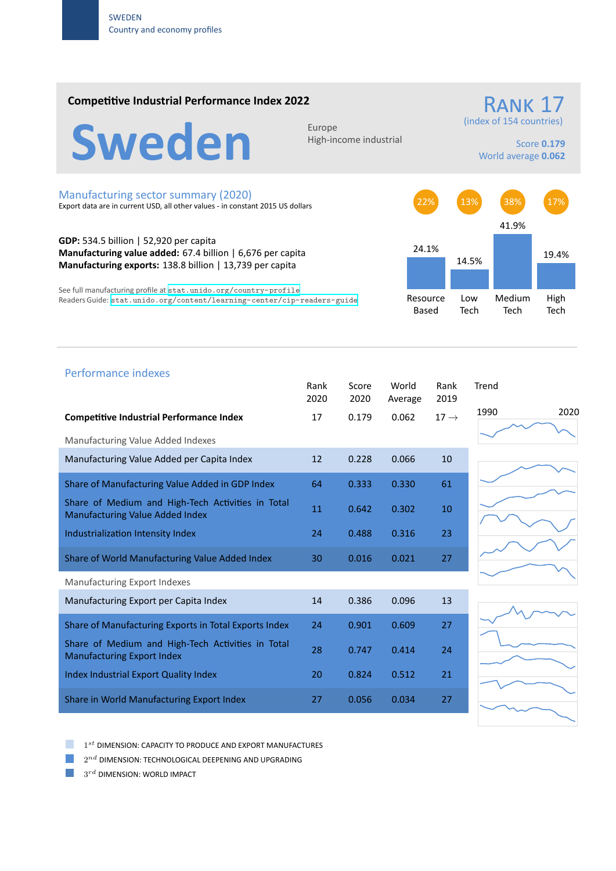### **Competitive Industrial Performance Index 2022**



High‐income industrial

## (index of 154 countries)

RANK 17

Score **0.179** World average **0.062**

#### Manufacturing sector summary (2020)

Export data are in current USD, all other values ‐ in constant 2015 US dollars

**GDP:** 534.5 billion | 52,920 per capita **Manufacturing value added:** 67.4 billion | 6,676 per capita **Manufacturing exports:** 138.8 billion | 13,739 per capita

See full manufacturing profile at stat.unido.org/country-profile Readers Guide: stat.unido.org/content/learning-center/cip-readers-guide



# 1990 2020 Performance indexes Rank Score World Rank Trend 2020 2020 Average 2019 **Competitive Industrial Performance Index 17 17** 0.179 0.062 17 → Manufacturing Value Added Indexes Manufacturing Value Added per Capita Index 12 0.228 0.066 10 Share of Manufacturing Value Added in GDP Index 64 0.333 0.330 61 Share of Medium and High‐Tech Activities in Total Share of Medium and High-fech Activities in Total 11 0.642 0.302 10 Industrialization Intensity Index 24 0.488 0.316 23 Share of World Manufacturing Value Added Index 30 0.016 0.021 27 Manufacturing Export Indexes Manufacturing Export per Capita Index 14 0.386 0.096 13 Share of Manufacturing Exports in Total Exports Index 24 0.901 0.609 27 Share of Medium and High‐Tech Activities in Total Manufacturing Export Index **Export Index** 28 0.747 0.414 24 Index Industrial Export Quality Index 20 0.824 0.512 21 Share in World Manufacturing Export Index 27 27 0.056 0.034 27

1 *st* DIMENSION: CAPACITY TO PRODUCE AND EXPORT MANUFACTURES

 $2^{nd}$  DIMENSION: TECHNOLOGICAL DEEPENING AND UPGRADING

 $3^{rd}$  DIMENSION: WORLD IMPACT